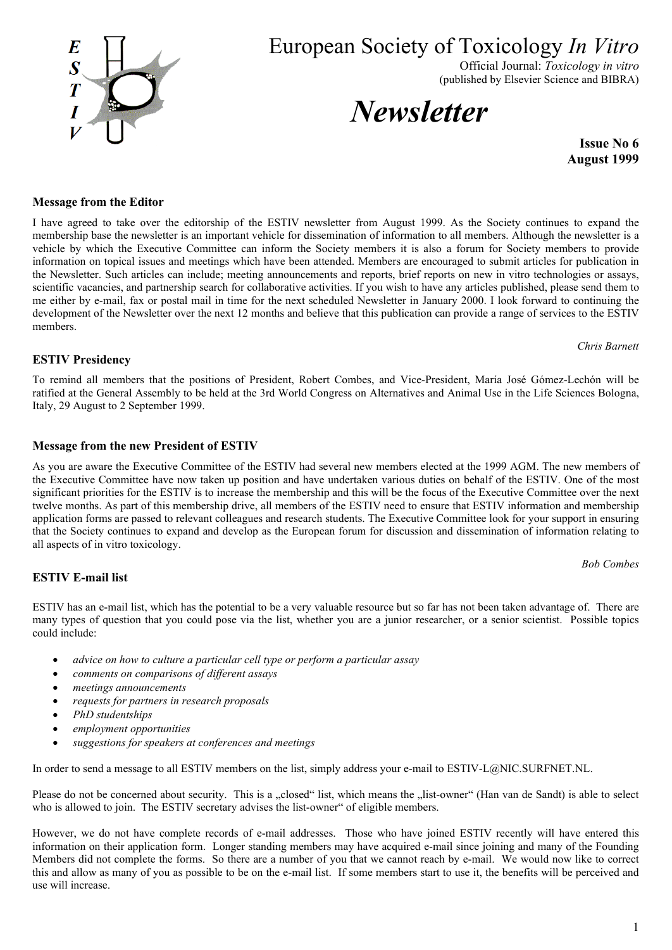

European Society of Toxicology *In Vitro*

Official Journal: *Toxicology in vitro* (published by Elsevier Science and BIBRA)

*Newsletter* 

**Issue No 6 August 1999**

### **Message from the Editor**

information on topical issues and meetings which have been attended. Members are encouraged to submit articles for publication in the Newsletter. Such articles can include; meeting announcements and reports, brief reports on new in vitro technologies or assays, scientific vacancies, and partnership search for collaborative activities. If you wish to have any articles published, please send them to me either by e-mail, fax or postal mail in time for the next scheduled Newsletter in January 2000. I look forward to continuing the development of the Newsletter over the next 12 months and believe that this publication can provide a range of services to the ESTIV members.

## **ESTIV Presidency**

To remind all members that the positions of President, Robert Combes, and Vice-President, María José Gómez-Lechón will be ratified at the General Assembly to be held at the 3rd World Congress on Alternatives and Animal Use in the Life Sciences Bologna, Italy, 29 August to 2 September 1999.

I have agreed to take over the editorship of the ESTIV newsletter from August 1999. As the Society continues to expand the membership base the newsletter is an important vehicle for dissemination of information to all members. Although the newsletter is a vehicle by which the Executive Committee can inform the Society members it is also a forum for Society members to provide

## **Message from the new President of ESTIV**

As you are aware the Executive Committee of the ESTIV had several new members elected at the 1999 AGM. The new members of the Executive Committee have now taken up position and have undertaken various duties on behalf of the ESTIV. One of the most significant priorities for the ESTIV is to increase the membership and this will be the focus of the Executive Committee over the next twelve months. As part of this membership drive, all members of the ESTIV need to ensure that ESTIV information and membership application forms are passed to relevant colleagues and research students. The Executive Committee look for your support in ensuring that the Society continues to expand and develop as the European forum for discussion and dissemination of information relating to all aspects of in vitro toxicology.

*Bob Combes*

# **ESTIV E-mail list**

ESTIV has an e-mail list, which has the potential to be a very valuable resource but so far has not been taken advantage of. There are many types of question that you could pose via the list, whether you are a junior researcher, or a senior scientist. Possible topics could include:

- *advice on how to culture a particular cell type or perform a particular assay*
- *comments on comparisons of different assays*
- *meetings announcements*
- *requests for partners in research proposals*
- *PhD studentships*
- *employment opportunities*
- *suggestions for speakers at conferences and meetings*

In order to send a message to all ESTIV members on the list, simply address your e-mail to ESTIV-L@NIC.SURFNET.NL.

Please do not be concerned about security. This is a "closed" list, which means the "list-owner" (Han van de Sandt) is able to select who is allowed to join. The ESTIV secretary advises the list-owner" of eligible members.

However, we do not have complete records of e-mail addresses. Those who have joined ESTIV recently will have entered this information on their application form. Longer standing members may have acquired e-mail since joining and many of the Founding Members did not complete the forms. So there are a number of you that we cannot reach by e-mail. We would now like to correct this and allow as many of you as possible to be on the e-mail list. If some members start to use it, the benefits will be perceived and use will increase.



*Chris Barnett*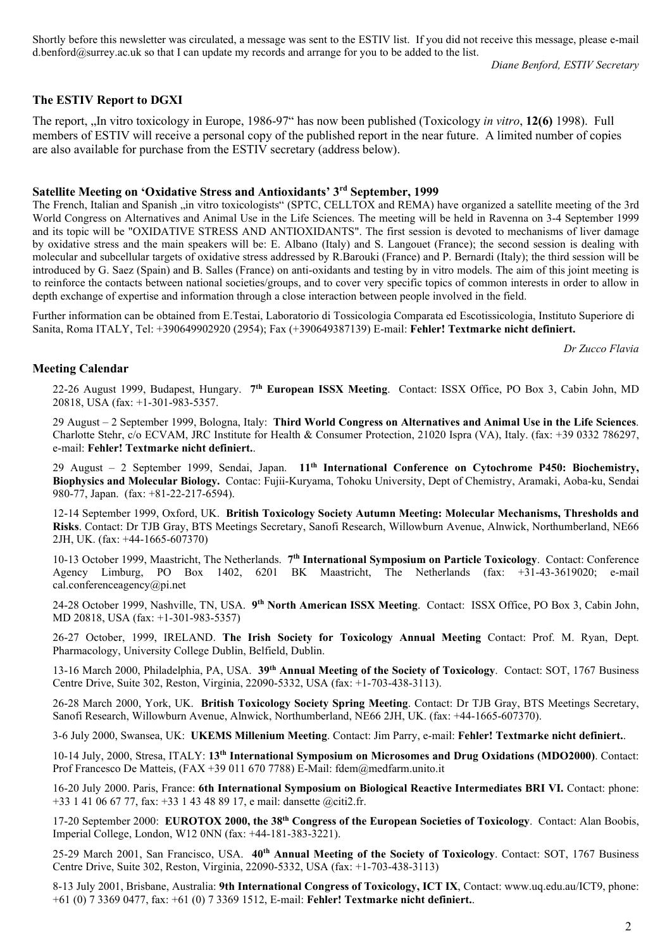Shortly before this newsletter was circulated, a message was sent to the ESTIV list. If you did not receive this message, please e-mail d.benford@surrey.ac.uk so that I can update my records and arrange for you to be added to the list.

*Diane Benford, ESTIV Secretary*

### **The ESTIV Report to DGXI**

The report, "In vitro toxicology in Europe, 1986-97" has now been published (Toxicology *in vitro*, 12(6) 1998). Full members of ESTIV will receive a personal copy of the published report in the near future. A limited number of copies are also available for purchase from the ESTIV secretary (address below).

### **Satellite Meeting on 'Oxidative Stress and Antioxidants' 3rd September, 1999**

The French, Italian and Spanish , in vitro toxicologists" (SPTC, CELLTOX and REMA) have organized a satellite meeting of the 3rd World Congress on Alternatives and Animal Use in the Life Sciences. The meeting will be held in Ravenna on 3-4 September 1999 and its topic will be "OXIDATIVE STRESS AND ANTIOXIDANTS". The first session is devoted to mechanisms of liver damage by oxidative stress and the main speakers will be: E. Albano (Italy) and S. Langouet (France); the second session is dealing with molecular and subcellular targets of oxidative stress addressed by R.Barouki (France) and P. Bernardi (Italy); the third session will be introduced by G. Saez (Spain) and B. Salles (France) on anti-oxidants and testing by in vitro models. The aim of this joint meeting is to reinforce the contacts between national societies/groups, and to cover very specific topics of common interests in order to allow in depth exchange of expertise and information through a close interaction between people involved in the field.

Further information can be obtained from E.Testai, Laboratorio di Tossicologia Comparata ed Escotissicologia, Instituto Superiore di Sanita, Roma ITALY, Tel: +390649902920 (2954); Fax (+390649387139) E-mail: **[Fehler! Textmarke nicht definiert.](mailto:testai@iss.it)**

*Dr Zucco Flavia*

#### **Meeting Calendar**

22-26 August 1999, Budapest, Hungary. **7th European ISSX Meeting**. Contact: ISSX Office, PO Box 3, Cabin John, MD 20818, USA (fax: +1-301-983-5357.

29 August – 2 September 1999, Bologna, Italy: **Third World Congress on Alternatives and Animal Use in the Life Sciences**. Charlotte Stehr, c/o ECVAM, JRC Institute for Health & Consumer Protection, 21020 Ispra (VA), Italy. (fax: +39 0332 786297, e-mail: **[Fehler! Textmarke nicht definiert.](mailto:3wc.bologna@jrc.it))**.

29 August – 2 September 1999, Sendai, Japan. **11th International Conference on Cytochrome P450: Biochemistry, Biophysics and Molecular Biology.** Contac: Fujii-Kuryama, Tohoku University, Dept of Chemistry, Aramaki, Aoba-ku, Sendai 980-77, Japan. (fax: +81-22-217-6594).

12-14 September 1999, Oxford, UK. **British Toxicology Society Autumn Meeting: Molecular Mechanisms, Thresholds and Risks**. Contact: Dr TJB Gray, BTS Meetings Secretary, Sanofi Research, Willowburn Avenue, Alnwick, Northumberland, NE66 2JH, UK. (fax: +44-1665-607370)

10-13 October 1999, Maastricht, The Netherlands. **7th International Symposium on Particle Toxicology**. Contact: Conference Agency Limburg, PO Box 1402, 6201 BK Maastricht, The Netherlands (fax: +31-43-3619020; e-mail cal.conferenceagency@pi.net

24-28 October 1999, Nashville, TN, USA. **9th North American ISSX Meeting**. Contact: ISSX Office, PO Box 3, Cabin John, MD 20818, USA (fax: +1-301-983-5357)

26-27 October, 1999, IRELAND. **The Irish Society for Toxicology Annual Meeting** Contact: Prof. M. Ryan, Dept. Pharmacology, University College Dublin, Belfield, Dublin.

13-16 March 2000, Philadelphia, PA, USA. **39th Annual Meeting of the Society of Toxicology**. Contact: SOT, 1767 Business Centre Drive, Suite 302, Reston, Virginia, 22090-5332, USA (fax: +1-703-438-3113).

26-28 March 2000, York, UK. **British Toxicology Society Spring Meeting**. Contact: Dr TJB Gray, BTS Meetings Secretary, Sanofi Research, Willowburn Avenue, Alnwick, Northumberland, NE66 2JH, UK. (fax: +44-1665-607370).

3-6 July 2000, Swansea, UK: **UKEMS Millenium Meeting**. Contact: Jim Parry, e-mail: **[Fehler! Textmarke nicht definiert.](mailto:jmp@swansea.ac.uk)**.

10-14 July, 2000, Stresa, ITALY: **13th International Symposium on Microsomes and Drug Oxidations (MDO2000)**. Contact: Prof Francesco De Matteis, (FAX +39 011 670 7788) E-Mail: fdem@medfarm.unito.it

16-20 July 2000. Paris, France: **6th International Symposium on Biological Reactive Intermediates BRI VI.** Contact: phone: +33 1 41 06 67 77, fax: +33 1 43 48 89 17, e mail: dansette @citi2.fr.

17-20 September 2000: **EUROTOX 2000, the 38th Congress of the European Societies of Toxicology**. Contact: Alan Boobis, Imperial College, London, W12 0NN (fax: +44-181-383-3221).

25-29 March 2001, San Francisco, USA. **40th Annual Meeting of the Society of Toxicology**. Contact: SOT, 1767 Business Centre Drive, Suite 302, Reston, Virginia, 22090-5332, USA (fax: +1-703-438-3113)

8-13 July 2001, Brisbane, Australia: **9th International Congress of Toxicology, ICT IX**, Contact: www.uq.edu.au/ICT9, phone: +61 (0) 7 3369 0477, fax: +61 (0) 7 3369 1512, E-mail: **[Fehler! Textmarke nicht definiert.](mailto:ictix2001@im.com.au)**.